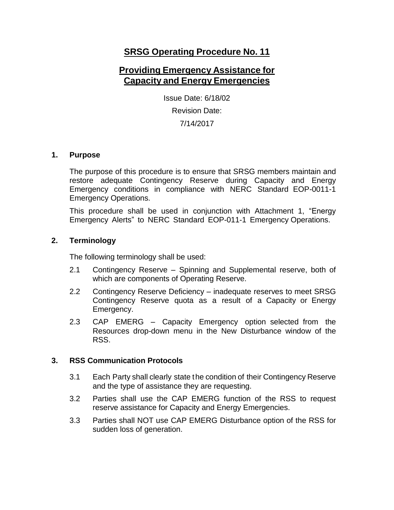# **SRSG Operating Procedure No. 11**

# **Providing Emergency Assistance for Capacity and Energy Emergencies**

Issue Date: 6/18/02 Revision Date: 7/14/2017

#### **1. Purpose**

The purpose of this procedure is to ensure that SRSG members maintain and restore adequate Contingency Reserve during Capacity and Energy Emergency conditions in compliance with NERC Standard EOP-0011-1 Emergency Operations.

This procedure shall be used in conjunction with Attachment 1, "Energy Emergency Alerts" to NERC Standard EOP-011-1 Emergency Operations.

## **2. Terminology**

The following terminology shall be used:

- 2.1 Contingency Reserve Spinning and Supplemental reserve, both of which are components of Operating Reserve.
- 2.2 Contingency Reserve Deficiency inadequate reserves to meet SRSG Contingency Reserve quota as a result of a Capacity or Energy Emergency.
- 2.3 CAP EMERG Capacity Emergency option selected from the Resources drop-down menu in the New Disturbance window of the RSS.

#### **3. RSS Communication Protocols**

- 3.1 Each Party shall clearly state the condition of their Contingency Reserve and the type of assistance they are requesting.
- 3.2 Parties shall use the CAP EMERG function of the RSS to request reserve assistance for Capacity and Energy Emergencies.
- 3.3 Parties shall NOT use CAP EMERG Disturbance option of the RSS for sudden loss of generation.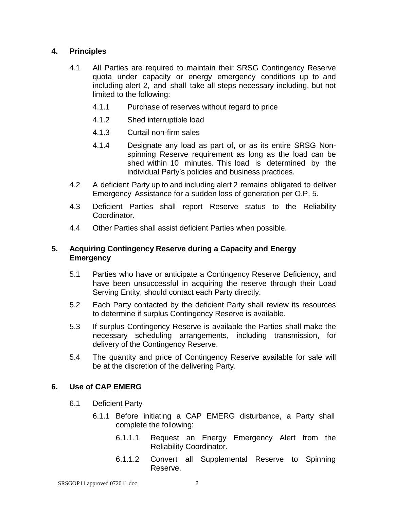## **4. Principles**

- 4.1 All Parties are required to maintain their SRSG Contingency Reserve quota under capacity or energy emergency conditions up to and including alert 2, and shall take all steps necessary including, but not limited to the following:
	- 4.1.1 Purchase of reserves without regard to price
	- 4.1.2 Shed interruptible load
	- 4.1.3 Curtail non-firm sales
	- 4.1.4 Designate any load as part of, or as its entire SRSG Nonspinning Reserve requirement as long as the load can be shed within 10 minutes. This load is determined by the individual Party's policies and business practices.
- 4.2 A deficient Party up to and including alert 2 remains obligated to deliver Emergency Assistance for a sudden loss of generation per O.P. 5.
- 4.3 Deficient Parties shall report Reserve status to the Reliability Coordinator.
- 4.4 Other Parties shall assist deficient Parties when possible.

#### **5. Acquiring Contingency Reserve during a Capacity and Energy Emergency**

- 5.1 Parties who have or anticipate a Contingency Reserve Deficiency, and have been unsuccessful in acquiring the reserve through their Load Serving Entity, should contact each Party directly.
- 5.2 Each Party contacted by the deficient Party shall review its resources to determine if surplus Contingency Reserve is available.
- 5.3 If surplus Contingency Reserve is available the Parties shall make the necessary scheduling arrangements, including transmission, for delivery of the Contingency Reserve.
- 5.4 The quantity and price of Contingency Reserve available for sale will be at the discretion of the delivering Party.

#### **6. Use of CAP EMERG**

- 6.1 Deficient Party
	- 6.1.1 Before initiating a CAP EMERG disturbance, a Party shall complete the following:
		- 6.1.1.1 Request an Energy Emergency Alert from the Reliability Coordinator.
		- 6.1.1.2 Convert all Supplemental Reserve to Spinning Reserve.